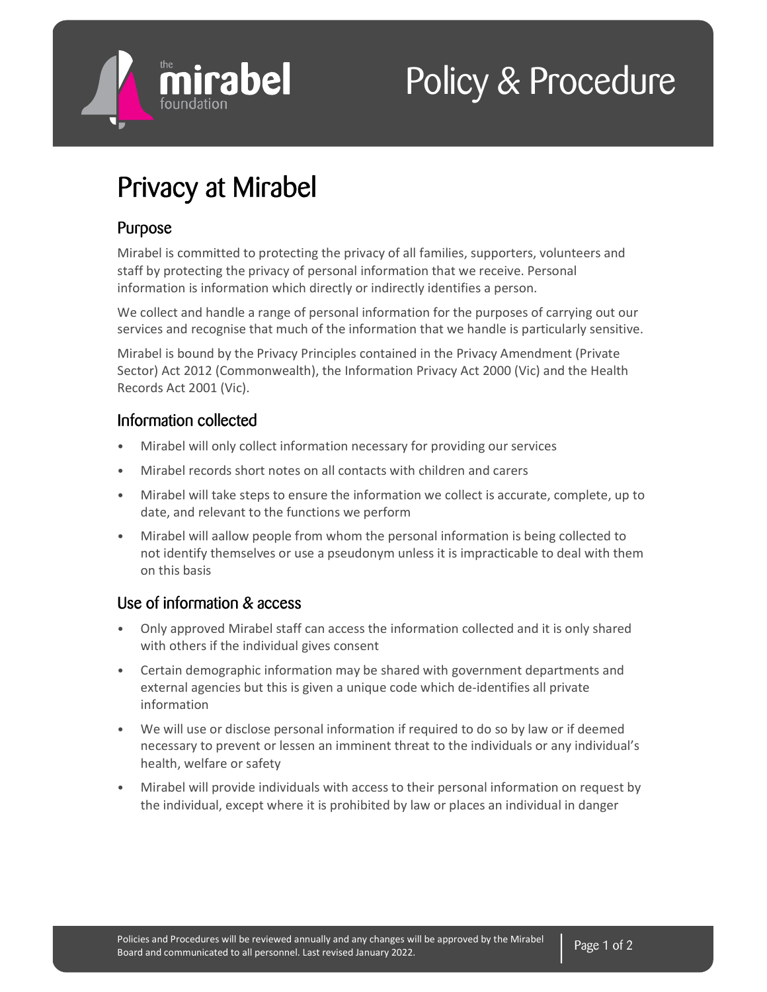

# Policy & Procedure

## Privacy at Mirabel

#### Purpose

Mirabel is committed to protecting the privacy of all families, supporters, volunteers and staff by protecting the privacy of personal information that we receive. Personal information is information which directly or indirectly identifies a person.

We collect and handle a range of personal information for the purposes of carrying out our services and recognise that much of the information that we handle is particularly sensitive.

Mirabel is bound by the Privacy Principles contained in the Privacy Amendment (Private Sector) Act 2012 (Commonwealth), the Information Privacy Act 2000 (Vic) and the Health Records Act 2001 (Vic).

#### Information collected

- Mirabel will only collect information necessary for providing our services
- Mirabel records short notes on all contacts with children and carers
- Mirabel will take steps to ensure the information we collect is accurate, complete, up to date, and relevant to the functions we perform
- Mirabel will aallow people from whom the personal information is being collected to not identify themselves or use a pseudonym unless it is impracticable to deal with them on this basis

### Use of information & access

- Only approved Mirabel staff can access the information collected and it is only shared with others if the individual gives consent
- Certain demographic information may be shared with government departments and external agencies but this is given a unique code which de-identifies all private information
- We will use or disclose personal information if required to do so by law or if deemed necessary to prevent or lessen an imminent threat to the individuals or any individual's health, welfare or safety
- Mirabel will provide individuals with access to their personal information on request by the individual, except where it is prohibited by law or places an individual in danger